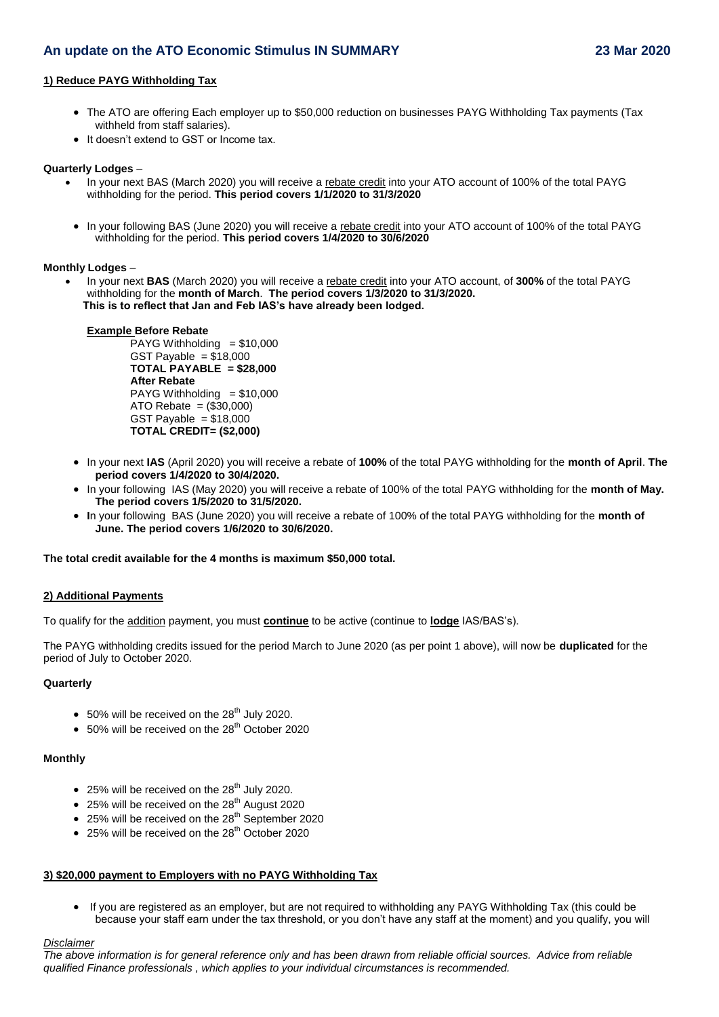# **An update on the ATO Economic Stimulus IN SUMMARY 23 Mar 2020**

# **1) Reduce PAYG Withholding Tax**

- The ATO are offering Each employer up to \$50,000 reduction on businesses PAYG Withholding Tax payments (Tax withheld from staff salaries).
- It doesn't extend to GST or Income tax.

#### **Quarterly Lodges** –

- In your next BAS (March 2020) you will receive a rebate credit into your ATO account of 100% of the total PAYG withholding for the period. **This period covers 1/1/2020 to 31/3/2020**
- In your following BAS (June 2020) you will receive a rebate credit into your ATO account of 100% of the total PAYG withholding for the period. **This period covers 1/4/2020 to 30/6/2020**

#### **Monthly Lodges** –

 In your next **BAS** (March 2020) you will receive a rebate credit into your ATO account, of **300%** of the total PAYG withholding for the **month of March**. **The period covers 1/3/2020 to 31/3/2020. This is to reflect that Jan and Feb IAS's have already been lodged.**

#### **Example Before Rebate**

 $PAYG$  Withholding  $= $10,000$ GST Payable  $= $18,000$ **TOTAL PAYABLE = \$28,000 After Rebate** PAYG Withholding  $= $10,000$ ATO Rebate = (\$30,000) GST Payable  $= $18,000$ **TOTAL CREDIT= (\$2,000)**

- In your next **IAS** (April 2020) you will receive a rebate of **100%** of the total PAYG withholding for the **month of April**. **The period covers 1/4/2020 to 30/4/2020.**
- In your following IAS (May 2020) you will receive a rebate of 100% of the total PAYG withholding for the **month of May. The period covers 1/5/2020 to 31/5/2020.**
- **I**n your following BAS (June 2020) you will receive a rebate of 100% of the total PAYG withholding for the **month of June. The period covers 1/6/2020 to 30/6/2020.**

#### **The total credit available for the 4 months is maximum \$50,000 total.**

# **2) Additional Payments**

To qualify for the addition payment, you must **continue** to be active (continue to **lodge** IAS/BAS's).

The PAYG withholding credits issued for the period March to June 2020 (as per point 1 above), will now be **duplicated** for the period of July to October 2020.

#### **Quarterly**

- $\bullet$  50% will be received on the 28<sup>th</sup> July 2020.
- $\bullet$  50% will be received on the 28<sup>th</sup> October 2020

# **Monthly**

- $\bullet$  25% will be received on the 28<sup>th</sup> July 2020.
- $\bullet$  25% will be received on the 28<sup>th</sup> August 2020
- $\bullet$  25% will be received on the 28<sup>th</sup> September 2020
- $\bullet$  25% will be received on the 28<sup>th</sup> October 2020

# **3) \$20,000 payment to Employers with no PAYG Withholding Tax**

 If you are registered as an employer, but are not required to withholding any PAYG Withholding Tax (this could be because your staff earn under the tax threshold, or you don't have any staff at the moment) and you qualify, you will

# *Disclaimer*

*The above information is for general reference only and has been drawn from reliable official sources. Advice from reliable qualified Finance professionals , which applies to your individual circumstances is recommended.*